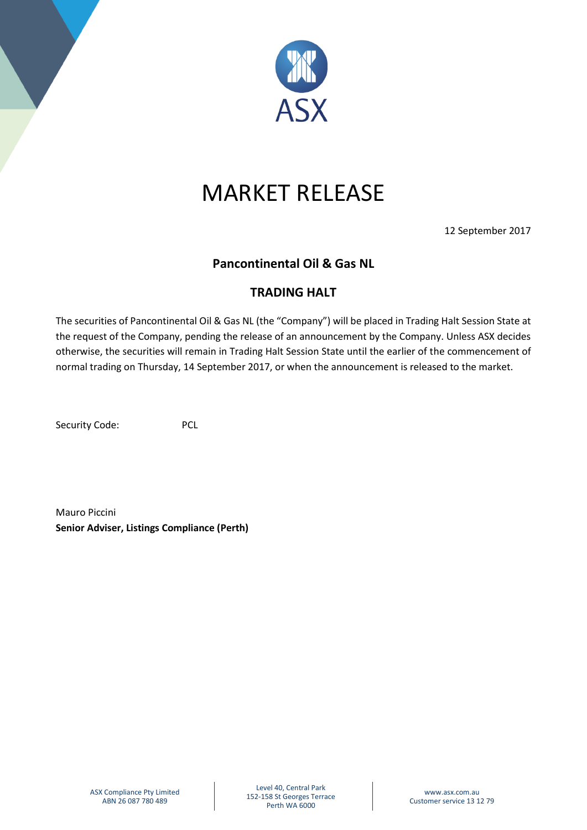

## MARKET RELEASE

12 September 2017

## **Pancontinental Oil & Gas NL**

## **TRADING HALT**

The securities of Pancontinental Oil & Gas NL (the "Company") will be placed in Trading Halt Session State at the request of the Company, pending the release of an announcement by the Company. Unless ASX decides otherwise, the securities will remain in Trading Halt Session State until the earlier of the commencement of normal trading on Thursday, 14 September 2017, or when the announcement is released to the market.

Security Code: PCL

Mauro Piccini **Senior Adviser, Listings Compliance (Perth)**